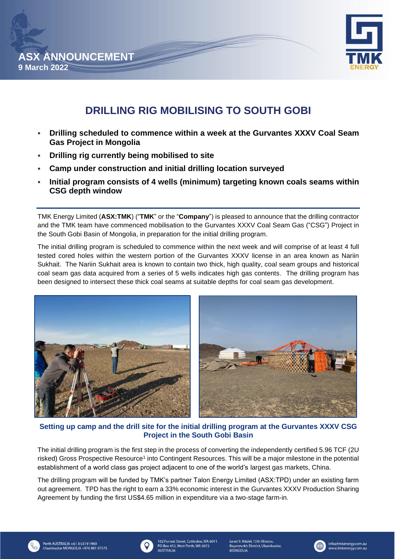



# **DRILLING RIG MOBILISING TO SOUTH GOBI**

- **Drilling scheduled to commence within a week at the Gurvantes XXXV Coal Seam Gas Project in Mongolia**
- **Drilling rig currently being mobilised to site**
- **Camp under construction and initial drilling location surveyed**
- **Initial program consists of 4 wells (minimum) targeting known coals seams within CSG depth window**

TMK Energy Limited (**ASX:TMK**) ("**TMK**" or the "**Company**") is pleased to announce that the drilling contractor and the TMK team have commenced mobilisation to the Gurvantes XXXV Coal Seam Gas ("CSG") Project in the South Gobi Basin of Mongolia, in preparation for the initial drilling program.

The initial drilling program is scheduled to commence within the next week and will comprise of at least 4 full tested cored holes within the western portion of the Gurvantes XXXV license in an area known as Nariin Sukhait. The Nariin Sukhait area is known to contain two thick, high quality, coal seam groups and historical coal seam gas data acquired from a series of 5 wells indicates high gas contents. The drilling program has been designed to intersect these thick coal seams at suitable depths for coal seam gas development.



**Setting up camp and the drill site for the initial drilling program at the Gurvantes XXXV CSG Project in the South Gobi Basin**

The initial drilling program is the first step in the process of converting the independently certified 5.96 TCF (2U risked) Gross Prospective Resource<sup>1</sup> into Contingent Resources. This will be a major milestone in the potential establishment of a world class gas project adjacent to one of the world's largest gas markets, China.

The drilling program will be funded by TMK's partner Talon Energy Limited (ASX:TPD) under an existing farm out agreement. TPD has the right to earn a 33% economic interest in the Gurvantes XXXV Production Sharing Agreement by funding the first US\$4.65 million in expenditure via a two-stage farm-in.